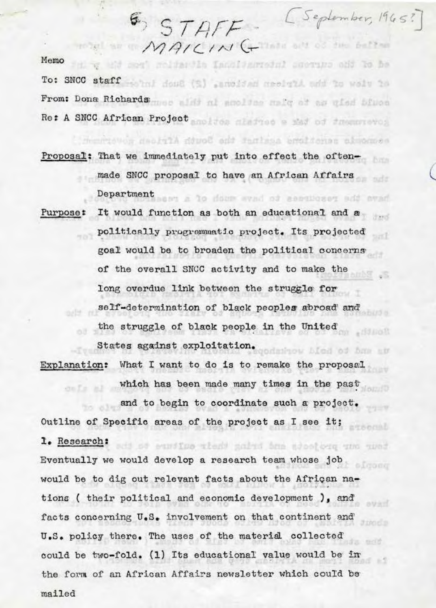Memo

Fill y wid mos' maldangle Innslagerodel acorups ond to be To: SNCC staff what doug (S) annoised arelaid and to welv to From: Dona Richards mes alit al amoltas malg of as giad biusa Re: A SNCC African Project of the minimum and of the method

TOR SE MAICING CHARLOS SE BETTER

riduor deolilons acainst the South African administration

**6** STAFF - (September, 1965?)

Proposal: That we immediately put into effect the oftenmade SNCC proposal to have an African Affairs Department ass a to does evad of securery add avad

It would function as both an educational and a Purpose: ਰੇਣਾਰੀ politically progremmatic project. Its projected saf goal would be to broaden the political concerns of the overall SNCC activity and to make the long overdue link between the struggle for self-determination of black peoples abroad and the struggle of black people in the United  $-193,000$ States against exploitation.

Explanation: What I want to do is to remake the proposal which has been made many times in the past and to begin to coordinate such a project.

Outline of Specific areas of the project as I see it; ntsecab 1. Research: ti se eurothe atest galad ban sootong und wond Eventually we would develop a research team whose job would be to dig out relevant facts about the African nations ( their political and economic development ), and page devel. facts concerning U.S. involvement on that continent and 3 ranger U.S. policy there. The uses of the material collected self. could be two-fold. (1) Its educational value would be in the form of an African Affairs newsletter which could be mailed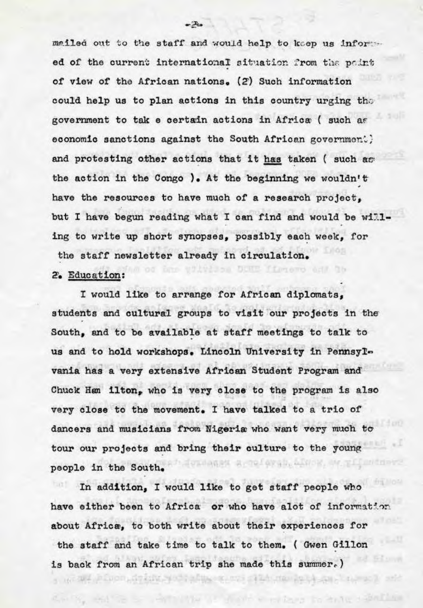mailed out to the staff and would help to keep us informed of the current international situation from the point of view of the African nations. (2) Such information could help us to plan actions in this country urging the government to tak e certain actions in Africa ( such as economic sanctions against the South African government) and protesting other actions that it has taken ( such as the action in the Congo ). At the beginning we wouldn't have the resources to have much of a research project. but I have begun reading what I can find and would be willing to write up short synopses, possibly each week, for the staff newsletter already in circulation.

terro ed h

triang to tale isnilly

## 2. Education:

I would like to arrange for African diplomats. students and cultural groups to visit our projects in the South, and to be available at staff meetings to talk to us and to hold workshops. Lincoln University in Pennsylvania has a very extensive African Student Program and Chuck Han ilton, who is very close to the program is also very close to the movement. I have talked to a trio of dancers and musicians from Nigeria who want very much to tour our projects and bring their culture to the young TO MAKES A TO OFFICE, ALVIE, MAY TILLINGENY people in the South.

In addition, I would like to get staff people who have either been to Africa or who have alot of information about Africa, to both write about their experiences for the staff and take time to talk to them. (Gwen Gillon is back from an African trip she made this summer.)

 $-x$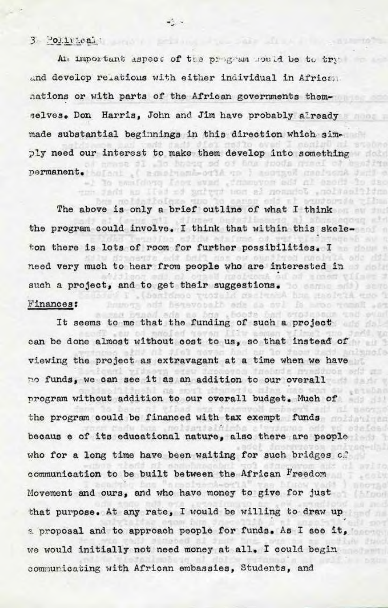## $3 - 201.1$

An important aspect of the program sould be to try and develop relations with either individual in African nations or with parts of the African governments themselves. Don Harris, John and Jim have probably already made substantial beginnings in this direction which simply need our interest to make them develop into something amasa di .lo bhang sé o' han thods grani of asailya permanent. befort .( membrank-outA on ) meetsed medical design -1 To sanidoro foot evad , fanancyon add al esodi to dec

A MODELLAND ALL AND THE SAN TO

to sapor odd al agustoria

**FIGGET** 

52mn

**SON DET** 

 $77.3$ 

Bain

ayiso

iciri

mrti vo

-2 -

noldadioleza uno The above is only a brief outline of what I think cong at the program could involve. I think that within this skeleetema bh ton there is lots of room for further possibilities. I menbyin adc dil need very much to hear from people who are interested in al of a men viimes 2 such a project, and to get their suggestions. The same of the such a series of the such a series of the suggestions. . Conforce twosaid contract has madeta eno i Finances: lumota odi hetavotali ode da svi iš muo temal .et

tun Jadi an Ilad ad marteud man al nonantol .noltanitidna

as busad ada na bos . booda bad crodussum und It seems to me that the funding of such a project can be done almost without cost to us, so that instead of d walancia viewing the project as extravagant at a time when we have STIOH BAS no funds, we can see it as an addition to our overall program without addition to our overall budget. Much of the program could be financed with tax exempt funds ハウル しっこり becaus e of its educational nature, also there are people who for a long time have been waiting for such bridges  $c_n$ . communication to be built between the African Freedom Movement and ours, and who have money to give for just that purpose. At any rate, I would be willing to draw up a proposal and to approach people for funds. As I see it, we would initially not need money at all. I could begin communicating with African embassies, Students, and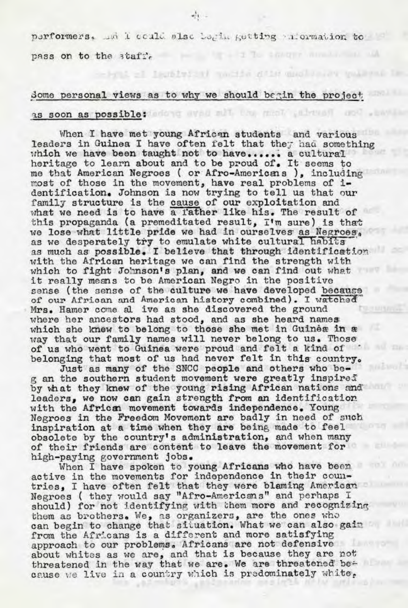performers. In I could slsc begin getting information to

I legislyicti macija dile quol

pass on to the  $\frac{3}{4}$ ;

## Some personal views as to why we should begin the project as soon as possible: when when the mean above the se

When I have met young African students and various leaders in Guinea I have often felt that they had something which we have been taught not to have...... a cultural heritage to learn about and to be proud of. It seems to me that American Negroes ( or Afro-Americans ), including most of those in the movement, have real problems of imost of those in the movement, have real problems of 1-<br>dentification. Johnson is now trying to tell us that our family structure is the cause of our exploitation and what we need is to have a 1'ather like his. The result of this propaganda (a premeditated result,  $I'm$  sure) is that we lose what little pride we had in ourselves as Negroes, as we desperately try to emulate white cultural habits as much as possible. I believe that through identification with the African heritage we can find the strength with which to fight Johnson's plan, and we can find out what<br>it really means to be American Negro in the positive sense (the sense of the culture we have developed because of our African and American history combined). I watched Mrs. Hamer come al iva as she discovered the ground where her ancestors had stood, and as she heard names which she knew to belong to those she met in Guinea in  $x$ way that our family names will never belong to us. Those of us who went to Guinea were proud and felt a kind of belonging that most of us had never felt in this country.<br>Just as many of the SNCC people and others who be-

g an the southern student movement were greatly inspired by what they knew of the young rising African nations and leaders, we now can gain strength from an identification with the African movement towards independence. Young Negroes in the Freedom Movement are badly in need of such inspiration at a time when they are being made to feel obsolete by the country's administration, and when many of their friends are content to leave the movement for

high-paying government jobs. When I have spoken to young Africans who have been active in the movements for independence in their countries, I have often felt that they were blaming American Negroes ( they would say "Afro-Americans" and perhaps I should) for not identifying with them more and recognizing them as brothers. We, as organizers, are the ones who can begin to change that situation. What we can also gain from the Africans is a different and more satisfying approach to our problems. Africans are not defensive about whites as we are, and that is because they are not<br>threatened in the way that we are. We are threatened because we live in a country which is predominately white.